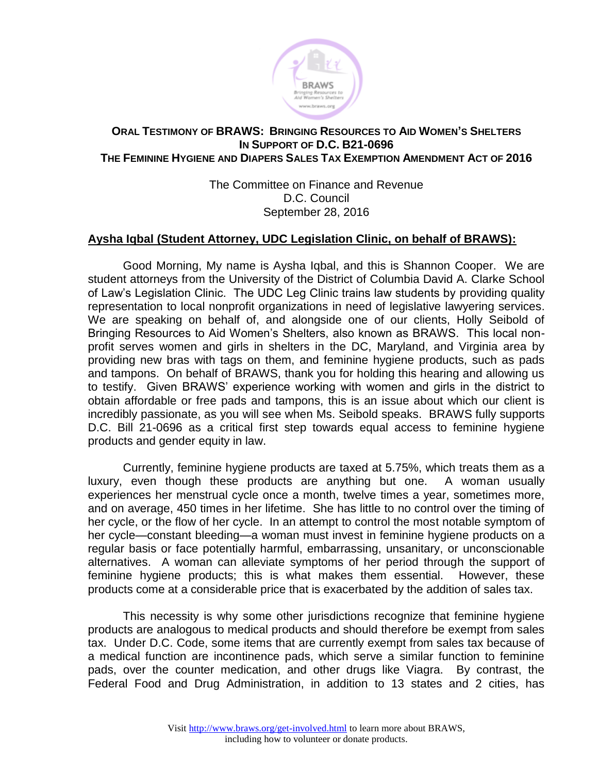

## **ORAL TESTIMONY OF BRAWS: BRINGING RESOURCES TO AID WOMEN'S SHELTERS IN SUPPORT OF D.C. B21-0696 THE FEMININE HYGIENE AND DIAPERS SALES TAX EXEMPTION AMENDMENT ACT OF 2016**

The Committee on Finance and Revenue D.C. Council September 28, 2016

## **Aysha Iqbal (Student Attorney, UDC Legislation Clinic, on behalf of BRAWS):**

Good Morning, My name is Aysha Iqbal, and this is Shannon Cooper. We are student attorneys from the University of the District of Columbia David A. Clarke School of Law's Legislation Clinic. The UDC Leg Clinic trains law students by providing quality representation to local nonprofit organizations in need of legislative lawyering services. We are speaking on behalf of, and alongside one of our clients, Holly Seibold of Bringing Resources to Aid Women's Shelters, also known as BRAWS. This local nonprofit serves women and girls in shelters in the DC, Maryland, and Virginia area by providing new bras with tags on them, and feminine hygiene products, such as pads and tampons. On behalf of BRAWS, thank you for holding this hearing and allowing us to testify. Given BRAWS' experience working with women and girls in the district to obtain affordable or free pads and tampons, this is an issue about which our client is incredibly passionate, as you will see when Ms. Seibold speaks. BRAWS fully supports D.C. Bill 21-0696 as a critical first step towards equal access to feminine hygiene products and gender equity in law.

Currently, feminine hygiene products are taxed at 5.75%, which treats them as a luxury, even though these products are anything but one. A woman usually experiences her menstrual cycle once a month, twelve times a year, sometimes more, and on average, 450 times in her lifetime. She has little to no control over the timing of her cycle, or the flow of her cycle. In an attempt to control the most notable symptom of her cycle—constant bleeding—a woman must invest in feminine hygiene products on a regular basis or face potentially harmful, embarrassing, unsanitary, or unconscionable alternatives. A woman can alleviate symptoms of her period through the support of feminine hygiene products; this is what makes them essential. However, these products come at a considerable price that is exacerbated by the addition of sales tax.

This necessity is why some other jurisdictions recognize that feminine hygiene products are analogous to medical products and should therefore be exempt from sales tax. Under D.C. Code, some items that are currently exempt from sales tax because of a medical function are incontinence pads, which serve a similar function to feminine pads, over the counter medication, and other drugs like Viagra. By contrast, the Federal Food and Drug Administration, in addition to 13 states and 2 cities, has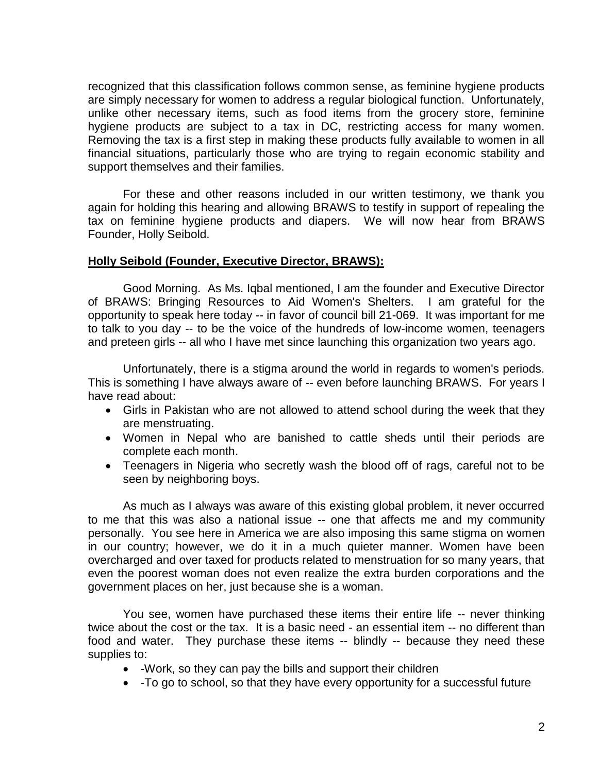recognized that this classification follows common sense, as feminine hygiene products are simply necessary for women to address a regular biological function. Unfortunately, unlike other necessary items, such as food items from the grocery store, feminine hygiene products are subject to a tax in DC, restricting access for many women. Removing the tax is a first step in making these products fully available to women in all financial situations, particularly those who are trying to regain economic stability and support themselves and their families.

For these and other reasons included in our written testimony, we thank you again for holding this hearing and allowing BRAWS to testify in support of repealing the tax on feminine hygiene products and diapers. We will now hear from BRAWS Founder, Holly Seibold.

## **Holly Seibold (Founder, Executive Director, BRAWS):**

Good Morning. As Ms. Iqbal mentioned, I am the founder and Executive Director of BRAWS: Bringing Resources to Aid Women's Shelters. I am grateful for the opportunity to speak here today -- in favor of council bill 21-069. It was important for me to talk to you day -- to be the voice of the hundreds of low-income women, teenagers and preteen girls -- all who I have met since launching this organization two years ago.

Unfortunately, there is a stigma around the world in regards to women's periods. This is something I have always aware of -- even before launching BRAWS. For years I have read about:

- Girls in Pakistan who are not allowed to attend school during the week that they are menstruating.
- Women in Nepal who are banished to cattle sheds until their periods are complete each month.
- Teenagers in Nigeria who secretly wash the blood off of rags, careful not to be seen by neighboring boys.

As much as I always was aware of this existing global problem, it never occurred to me that this was also a national issue -- one that affects me and my community personally. You see here in America we are also imposing this same stigma on women in our country; however, we do it in a much quieter manner. Women have been overcharged and over taxed for products related to menstruation for so many years, that even the poorest woman does not even realize the extra burden corporations and the government places on her, just because she is a woman.

You see, women have purchased these items their entire life -- never thinking twice about the cost or the tax. It is a basic need - an essential item -- no different than food and water. They purchase these items -- blindly -- because they need these supplies to:

- -Work, so they can pay the bills and support their children
- -To go to school, so that they have every opportunity for a successful future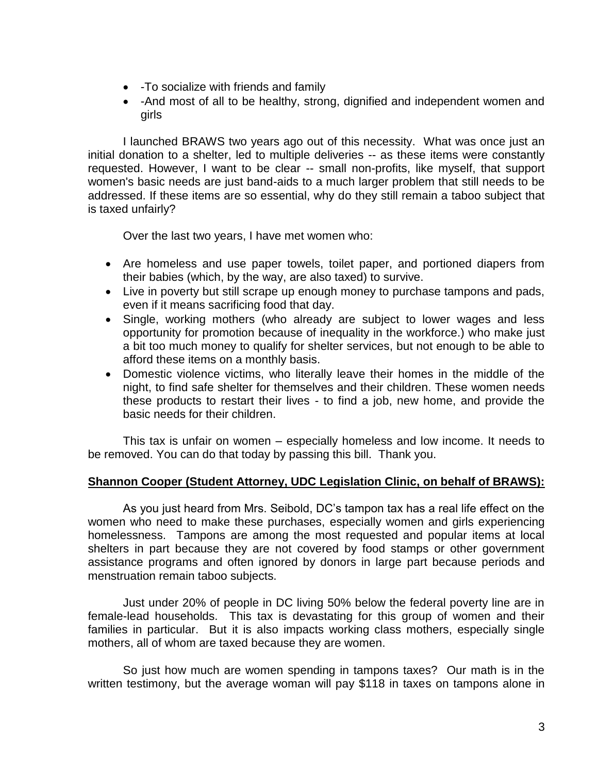- -To socialize with friends and family
- -And most of all to be healthy, strong, dignified and independent women and girls

I launched BRAWS two years ago out of this necessity. What was once just an initial donation to a shelter, led to multiple deliveries -- as these items were constantly requested. However, I want to be clear -- small non-profits, like myself, that support women's basic needs are just band-aids to a much larger problem that still needs to be addressed. If these items are so essential, why do they still remain a taboo subject that is taxed unfairly?

Over the last two years, I have met women who:

- Are homeless and use paper towels, toilet paper, and portioned diapers from their babies (which, by the way, are also taxed) to survive.
- Live in poverty but still scrape up enough money to purchase tampons and pads, even if it means sacrificing food that day.
- Single, working mothers (who already are subject to lower wages and less opportunity for promotion because of inequality in the workforce.) who make just a bit too much money to qualify for shelter services, but not enough to be able to afford these items on a monthly basis.
- Domestic violence victims, who literally leave their homes in the middle of the night, to find safe shelter for themselves and their children. These women needs these products to restart their lives - to find a job, new home, and provide the basic needs for their children.

This tax is unfair on women – especially homeless and low income. It needs to be removed. You can do that today by passing this bill. Thank you.

## **Shannon Cooper (Student Attorney, UDC Legislation Clinic, on behalf of BRAWS):**

As you just heard from Mrs. Seibold, DC's tampon tax has a real life effect on the women who need to make these purchases, especially women and girls experiencing homelessness. Tampons are among the most requested and popular items at local shelters in part because they are not covered by food stamps or other government assistance programs and often ignored by donors in large part because periods and menstruation remain taboo subjects.

Just under 20% of people in DC living 50% below the federal poverty line are in female-lead households. This tax is devastating for this group of women and their families in particular. But it is also impacts working class mothers, especially single mothers, all of whom are taxed because they are women.

So just how much are women spending in tampons taxes? Our math is in the written testimony, but the average woman will pay \$118 in taxes on tampons alone in